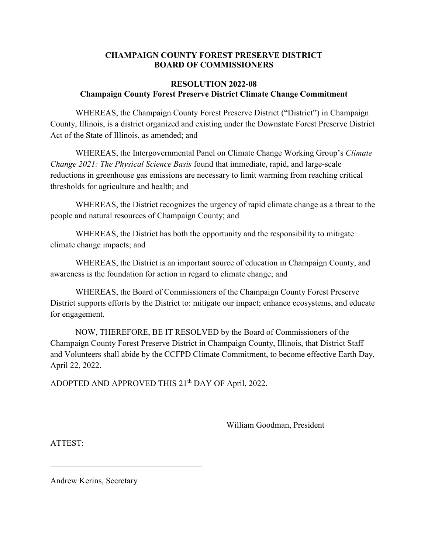#### **CHAMPAIGN COUNTY FOREST PRESERVE DISTRICT BOARD OF COMMISSIONERS**

#### **RESOLUTION 2022-08 Champaign County Forest Preserve District Climate Change Commitment**

WHEREAS, the Champaign County Forest Preserve District ("District") in Champaign County, Illinois, is a district organized and existing under the Downstate Forest Preserve District Act of the State of Illinois, as amended; and

WHEREAS, the Intergovernmental Panel on Climate Change Working Group's *Climate Change 2021: The Physical Science Basis* found that immediate, rapid, and large-scale reductions in greenhouse gas emissions are necessary to limit warming from reaching critical thresholds for agriculture and health; and

WHEREAS, the District recognizes the urgency of rapid climate change as a threat to the people and natural resources of Champaign County; and

WHEREAS, the District has both the opportunity and the responsibility to mitigate climate change impacts; and

WHEREAS, the District is an important source of education in Champaign County, and awareness is the foundation for action in regard to climate change; and

WHEREAS, the Board of Commissioners of the Champaign County Forest Preserve District supports efforts by the District to: mitigate our impact; enhance ecosystems, and educate for engagement.

NOW, THEREFORE, BE IT RESOLVED by the Board of Commissioners of the Champaign County Forest Preserve District in Champaign County, Illinois, that District Staff and Volunteers shall abide by the CCFPD Climate Commitment, to become effective Earth Day, April 22, 2022.

ADOPTED AND APPROVED THIS 21<sup>th</sup> DAY OF April, 2022.

William Goodman, President

ATTEST:

Andrew Kerins, Secretary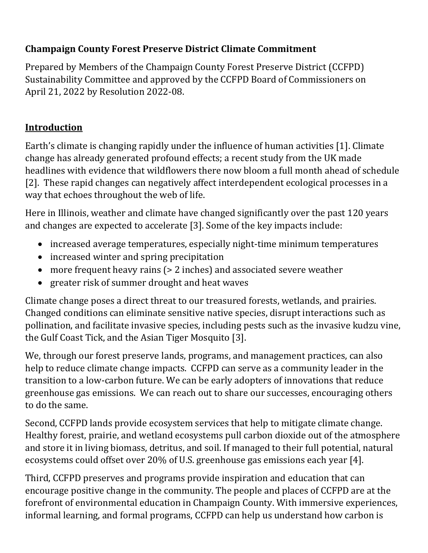# **Champaign County Forest Preserve District Climate Commitment**

Prepared by Members of the Champaign County Forest Preserve District (CCFPD) Sustainability Committee and approved by the CCFPD Board of Commissioners on April 21, 2022 by Resolution 2022-08.

# **Introduction**

Earth's climate is changing rapidly under the influence of human activities [1]. Climate change has already generated profound effects; a recent study from the UK made headlines with evidence that wildflowers there now bloom a full month ahead of schedule [2]. These rapid changes can negatively affect interdependent ecological processes in a way that echoes throughout the web of life.

Here in Illinois, weather and climate have changed significantly over the past 120 years and changes are expected to accelerate [3]. Some of the key impacts include:

- increased average temperatures, especially night-time minimum temperatures
- increased winter and spring precipitation
- more frequent heavy rains (> 2 inches) and associated severe weather
- greater risk of summer drought and heat waves

Climate change poses a direct threat to our treasured forests, wetlands, and prairies. Changed conditions can eliminate sensitive native species, disrupt interactions such as pollination, and facilitate invasive species, including pests such as the invasive kudzu vine, the Gulf Coast Tick, and the Asian Tiger Mosquito [3].

We, through our forest preserve lands, programs, and management practices, can also help to reduce climate change impacts. CCFPD can serve as a community leader in the transition to a low-carbon future. We can be early adopters of innovations that reduce greenhouse gas emissions. We can reach out to share our successes, encouraging others to do the same.

Second, CCFPD lands provide ecosystem services that help to mitigate climate change. Healthy forest, prairie, and wetland ecosystems pull carbon dioxide out of the atmosphere and store it in living biomass, detritus, and soil. If managed to their full potential, natural ecosystems could offset over 20% of U.S. greenhouse gas emissions each year [4].

Third, CCFPD preserves and programs provide inspiration and education that can encourage positive change in the community. The people and places of CCFPD are at the forefront of environmental education in Champaign County. With immersive experiences, informal learning, and formal programs, CCFPD can help us understand how carbon is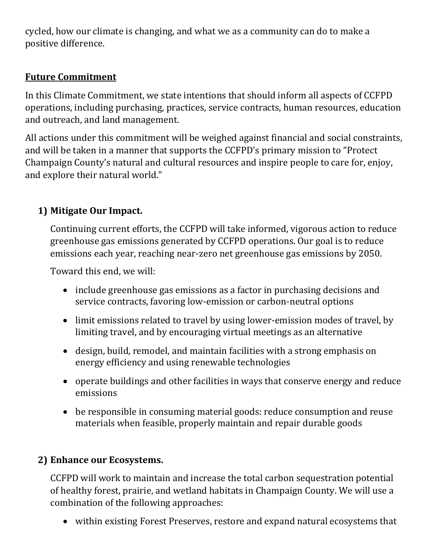cycled, how our climate is changing, and what we as a community can do to make a positive difference.

## **Future Commitment**

In this Climate Commitment, we state intentions that should inform all aspects of CCFPD operations, including purchasing, practices, service contracts, human resources, education and outreach, and land management.

All actions under this commitment will be weighed against financial and social constraints, and will be taken in a manner that supports the CCFPD's primary mission to "Protect Champaign County's natural and cultural resources and inspire people to care for, enjoy, and explore their natural world."

## **1) Mitigate Our Impact.**

Continuing current efforts, the CCFPD will take informed, vigorous action to reduce greenhouse gas emissions generated by CCFPD operations. Our goal is to reduce emissions each year, reaching near-zero net greenhouse gas emissions by 2050.

Toward this end, we will:

- include greenhouse gas emissions as a factor in purchasing decisions and service contracts, favoring low-emission or carbon-neutral options
- limit emissions related to travel by using lower-emission modes of travel, by limiting travel, and by encouraging virtual meetings as an alternative
- design, build, remodel, and maintain facilities with a strong emphasis on energy efficiency and using renewable technologies
- operate buildings and other facilities in ways that conserve energy and reduce emissions
- be responsible in consuming material goods: reduce consumption and reuse materials when feasible, properly maintain and repair durable goods

### **2) Enhance our Ecosystems.**

CCFPD will work to maintain and increase the total carbon sequestration potential of healthy forest, prairie, and wetland habitats in Champaign County. We will use a combination of the following approaches:

• within existing Forest Preserves, restore and expand natural ecosystems that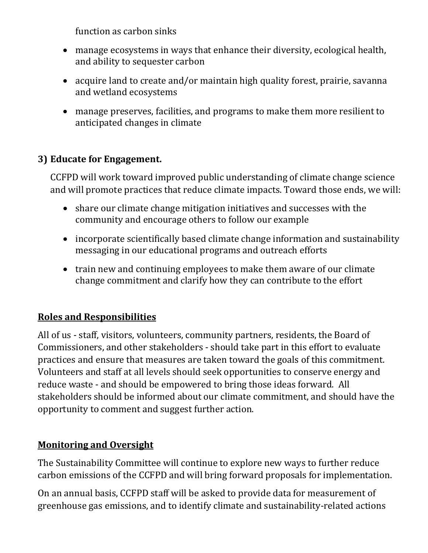function as carbon sinks

- manage ecosystems in ways that enhance their diversity, ecological health, and ability to sequester carbon
- acquire land to create and/or maintain high quality forest, prairie, savanna and wetland ecosystems
- manage preserves, facilities, and programs to make them more resilient to anticipated changes in climate

# **3) Educate for Engagement.**

CCFPD will work toward improved public understanding of climate change science and will promote practices that reduce climate impacts. Toward those ends, we will:

- share our climate change mitigation initiatives and successes with the community and encourage others to follow our example
- incorporate scientifically based climate change information and sustainability messaging in our educational programs and outreach efforts
- train new and continuing employees to make them aware of our climate change commitment and clarify how they can contribute to the effort

### **Roles and Responsibilities**

All of us - staff, visitors, volunteers, community partners, residents, the Board of Commissioners, and other stakeholders - should take part in this effort to evaluate practices and ensure that measures are taken toward the goals of this commitment. Volunteers and staff at all levels should seek opportunities to conserve energy and reduce waste - and should be empowered to bring those ideas forward. All stakeholders should be informed about our climate commitment, and should have the opportunity to comment and suggest further action.

### **Monitoring and Oversight**

The Sustainability Committee will continue to explore new ways to further reduce carbon emissions of the CCFPD and will bring forward proposals for implementation.

On an annual basis, CCFPD staff will be asked to provide data for measurement of greenhouse gas emissions, and to identify climate and sustainability-related actions